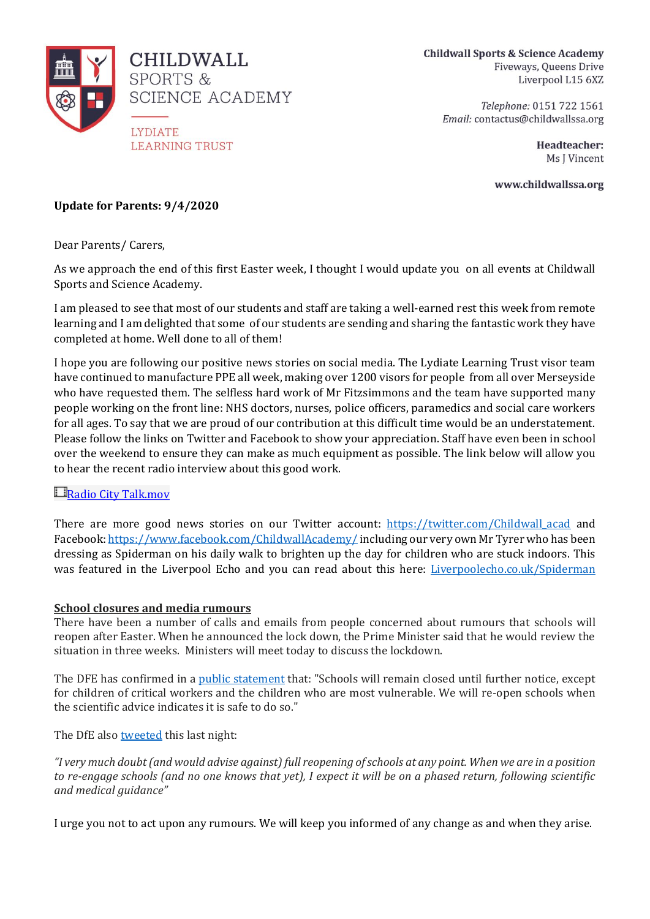

**Childwall Sports & Science Academy** Fiveways, Queens Drive Liverpool L15 6XZ

> Telephone: 0151 722 1561 Email: contactus@childwallssa.org

> > Headteacher: Ms J Vincent

www.childwallssa.org

# **Update for Parents: 9/4/2020**

Dear Parents/ Carers,

As we approach the end of this first Easter week, I thought I would update you on all events at Childwall Sports and Science Academy.

I am pleased to see that most of our students and staff are taking a well-earned rest this week from remote learning and I am delighted that some of our students are sending and sharing the fantastic work they have completed at home. Well done to all of them!

I hope you are following our positive news stories on social media. The Lydiate Learning Trust visor team have continued to manufacture PPE all week, making over 1200 visors for people from all over Merseyside who have requested them. The selfless hard work of Mr Fitzsimmons and the team have supported many people working on the front line: NHS doctors, nurses, police officers, paramedics and social care workers for all ages. To say that we are proud of our contribution at this difficult time would be an understatement. Please follow the links on Twitter and Facebook to show your appreciation. Staff have even been in school over the weekend to ensure they can make as much equipment as possible. The link below will allow you to hear the recent radio interview about this good work.

## **E**[R](https://deyes-my.sharepoint.com/:v:/g/personal/j_parry_studio-deyes_co_uk/ESUUzmSjdfVIuFSZsGntKUwBV90Lh335rv76omQhJijrMQ?e=oVnDo1)adio City [Talk.mov](https://deyes-my.sharepoint.com/:v:/g/personal/j_parry_studio-deyes_co_uk/ESUUzmSjdfVIuFSZsGntKUwBV90Lh335rv76omQhJijrMQ?e=oVnDo1)

There are more good news stories on our Twitter account: [https://twitter.com/Childwall\\_acad](https://twitter.com/Childwall_acad) and Facebook[: https://www.facebook.com/ChildwallAcademy/](https://www.facebook.com/ChildwallAcademy/)including our very own Mr Tyrer who has been dressing as Spiderman on his daily walk to brighten up the day for children who are stuck indoors. This was featured in the Liverpool Echo and you can read about this here: [Liverpoolecho.co.uk/Spiderman](https://www.liverpoolecho.co.uk/news/liverpool-news/spider-man-spotted-running-down-18027425)

#### **School closures and media rumours**

There have been a number of calls and emails from people concerned about rumours that schools will reopen after Easter. When he announced the lock down, the Prime Minister said that he would review the situation in three weeks. Ministers will meet today to discuss the lockdown.

The DFE has confirmed in a public [statement](https://dfemedia.blog.gov.uk/2020/04/08/coronavirus-and-school-closures/) that: "Schools will remain closed until further notice, except for children of critical workers and the children who are most vulnerable. We will re-open schools when the scientific advice indicates it is safe to do so."

The DfE also [tweeted](https://twitter.com/educationgovuk/status/1247946278761267203) this last night:

*"I very much doubt (and would advise against) full reopening of schools at any point. When we are in a position to re-engage schools (and no one knows that yet), I expect it will be on a phased return, following scientific and medical guidance"*

I urge you not to act upon any rumours. We will keep you informed of any change as and when they arise.